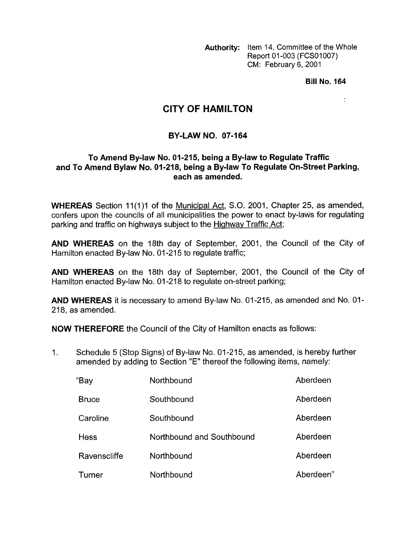**Authority:** Item 14, Committee of the Whole Report 01-003 (FCS01007) CM: February 6, 2001

**Bill No. 164** 

 $\frac{\pi}{2}$ 

## **CITY OF HAMILTON**

## **BY-LAW NO. 07-164**

## **To Amend Bylaw No. 01-215, being a By-law to Regulate Traffic and To Amend Bylaw No. 01-218, being a By-law To Regulate On-Street Parking, each as amended.**

**WHEREAS** Section 11(1)1 of the Municipal Act, S.O. 2001, Chapter 25, as amended, confers upon the councils of all municipalities the power to enact by-laws for regulating parking and traffic on highways subject to the Highway Traffic Act;

**AND WHEREAS** on the 18th day of September, 2001, the Council of the City of Hamilton enacted By-law No. 01-215 to regulate traffic;

**AND WHEREAS** on the 18th day of September, 2001, the Council of the City of Hamilton enacted By-law No. 01-218 to regulate on-street parking;

**AND WHEREAS** it is necessary to amend By-law No. 01-215, as amended and No. 01- 218, as amended.

**NOW THEREFORE** the Council of the City of Hamilton enacts as follows:

1. Schedule 5 (Stop Signs) of By-law No. 01 -21 5, as amended, is hereby further amended by adding to Section "E" thereof the following items, namely:

| "Bay         | Northbound                | Aberdeen  |
|--------------|---------------------------|-----------|
| <b>Bruce</b> | Southbound                | Aberdeen  |
| Caroline     | Southbound                | Aberdeen  |
| Hess         | Northbound and Southbound | Aberdeen  |
| Ravenscliffe | Northbound                | Aberdeen  |
| Turner       | Northbound                | Aberdeen" |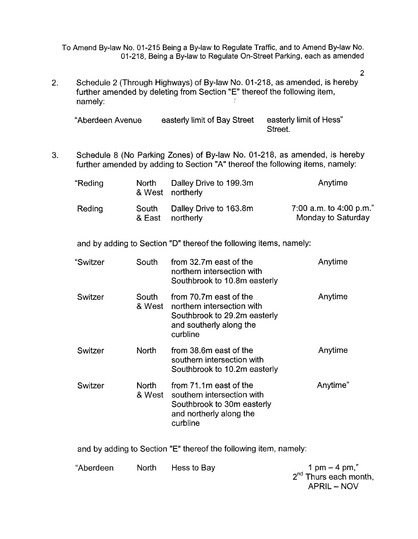To Amend By-law No. 01-215 Being a By-law to Regulate Traffic, and to Amend By-law No. 01-218, Being a By-law to Regulate On-Street Parking, each as amended

2

2. Schedule 2 (Through Highways) of By-law No. 01-218, as amended, is hereby further amended by deleting from Section **"E"** thereof the following item, namely:

| "Aberdeen Avenue | easterly limit of Bay Street | easterly limit of Hess" |
|------------------|------------------------------|-------------------------|
|                  |                              | Street.                 |

3. Schedule 8 (No Parking Zones) of By-law No. 01-218, as amended, is hereby further amended by adding to Section "A" thereof the following items, namely:

| "Reding | North | Dalley Drive to 199.3m<br>& West northerly | Anytime                                       |
|---------|-------|--------------------------------------------|-----------------------------------------------|
| Reding  | South | Dalley Drive to 163.8m<br>& East northerly | 7:00 a.m. to 4:00 p.m."<br>Monday to Saturday |

and by adding to Section "D" thereof the following items, namely:

| "Switzer | South           | from 32.7m east of the<br>northern intersection with<br>Southbrook to 10.8m easterly                                        | Anytime  |
|----------|-----------------|-----------------------------------------------------------------------------------------------------------------------------|----------|
| Switzer  | South<br>& West | from 70.7m east of the<br>northern intersection with<br>Southbrook to 29.2m easterly<br>and southerly along the<br>curbline | Anytime  |
| Switzer  | <b>North</b>    | from 38.6m east of the<br>southern intersection with<br>Southbrook to 10.2m easterly                                        | Anytime  |
| Switzer  | North<br>& West | from 71.1m east of the<br>southern intersection with<br>Southbrook to 30m easterly<br>and northerly along the<br>curbline   | Anytime" |

and by adding to Section "E" thereof the following item, namely:

"Aberdeen North Hess to Bay  $1 \text{ pm} - 4 \text{ pm}$ ," 2<sup>nd</sup> Thurs each month, APRIL - NOV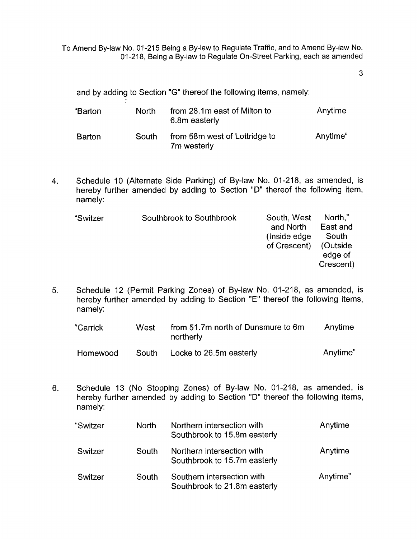To Amend By-law No. 01-215 Being a By-law to Regulate Traffic, and to Amend By-law No. 01-218, Being a By-law to Regulate On-Street Parking, each as amended

**3** 

and by adding to Section **"G"** thereof the following items, namely:

 $\mathcal{A}^{\mathcal{A}}$ 

| "Barton       | North | from 28.1m east of Milton to<br>6.8m easterly | Anytime  |
|---------------|-------|-----------------------------------------------|----------|
| <b>Barton</b> | South | from 58m west of Lottridge to<br>7m westerly  | Anytime" |

**4.** Schedule 10 (Alternate Side Parking) of By-law No. 01-218, as amended, is hereby further amended by adding to Section "D" thereof the following item, namely:

| "Switzer | Southbrook to Southbrook | South, West<br>and North<br>(Inside edge)<br>of Crescent) | North."<br>East and<br>South<br>(Outside<br>edge of<br>Crescent) |
|----------|--------------------------|-----------------------------------------------------------|------------------------------------------------------------------|
|          |                          |                                                           |                                                                  |

*5.* Schedule 12 (Permit Parking Zones) of By-law No. 01-218, as amended, is hereby further amended by adding to Section "E" thereof the following items, namely:

| "Carrick<br>West |       | from 51.7m north of Dunsmure to 6m<br>northerly | Anytime  |
|------------------|-------|-------------------------------------------------|----------|
| Homewood         | South | Locke to 26.5m easterly                         | Anytime" |

6. Schedule 13 (No Stopping Zones) of By-law No. 01-218, as amended, is hereby further amended by adding to Section "D" thereof the following items, namely:

| "Switzer | North | Northern intersection with<br>Southbrook to 15.8m easterly | Anytime  |
|----------|-------|------------------------------------------------------------|----------|
| Switzer  | South | Northern intersection with<br>Southbrook to 15.7m easterly | Anytime  |
| Switzer  | South | Southern intersection with<br>Southbrook to 21.8m easterly | Anytime" |